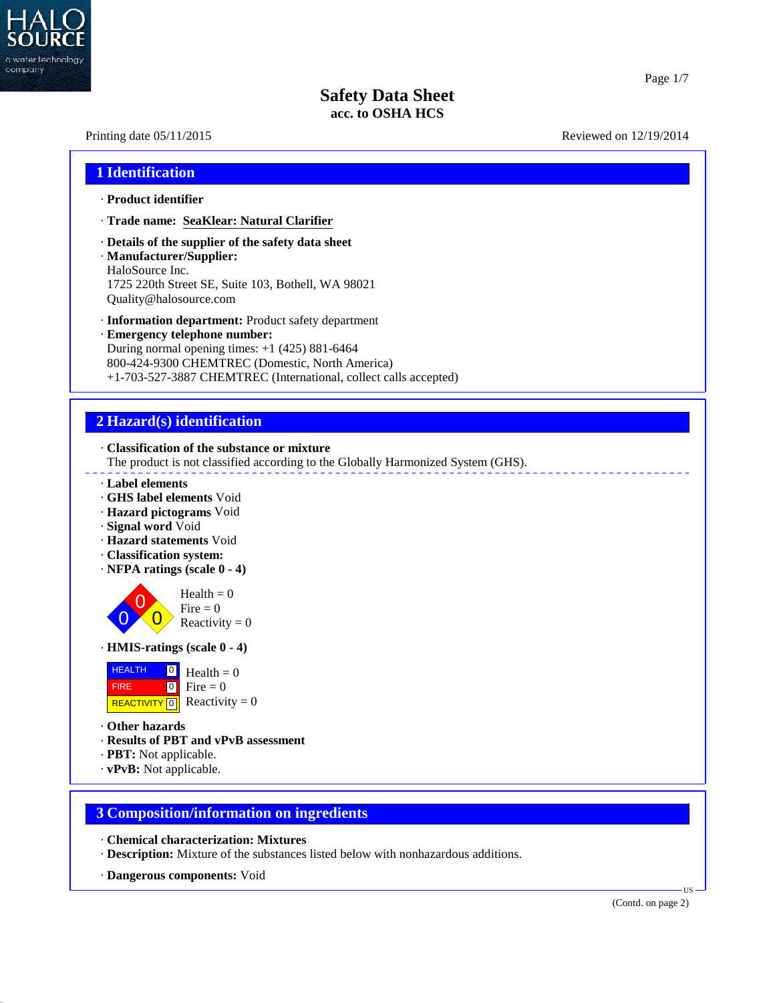

# Printing date  $05/11/2015$  Reviewed on  $12/19/2014$ **1 Identification** · **Product identifier** · **Trade name: SeaKlear: Natural Clarifier** · **Details of the supplier of the safety data sheet** · **Manufacturer/Supplier:** HaloSource Inc. 1725 220th Street SE, Suite 103, Bothell, WA 98021 Quality@halosource.com · **Information department:** Product safety department · **Emergency telephone number:** During normal opening times: +1 (425) 881-6464 800-424-9300 CHEMTREC (Domestic, North America) +1-703-527-3887 CHEMTREC (International, collect calls accepted) **2 Hazard(s) identification** · **Classification of the substance or mixture** The product is not classified according to the Globally Harmonized System (GHS). · **Label elements** · **GHS label elements** Void · **Hazard pictograms** Void · **Signal word** Void · **Hazard statements** Void · **Classification system:** · **NFPA ratings (scale 0 - 4)**  $\overrightarrow{0}$  Reactivity = 0 Fire  $= 0$  $Health = 0$ · **HMIS-ratings (scale 0 - 4)** HEALTH 0 FIRE 0 REACTIVITY  $\boxed{0}$  Reactivity = 0  $\frac{0}{\Box}$  Health = 0  $\bullet$  Fire = 0 · **Other hazards** · **Results of PBT and vPvB assessment** · **PBT:** Not applicable. · **vPvB:** Not applicable. **3 Composition/information on ingredients**

- · **Chemical characterization: Mixtures**
- · **Description:** Mixture of the substances listed below with nonhazardous additions.
- · **Dangerous components:** Void

40.2.7

(Contd. on page 2)

**TIS**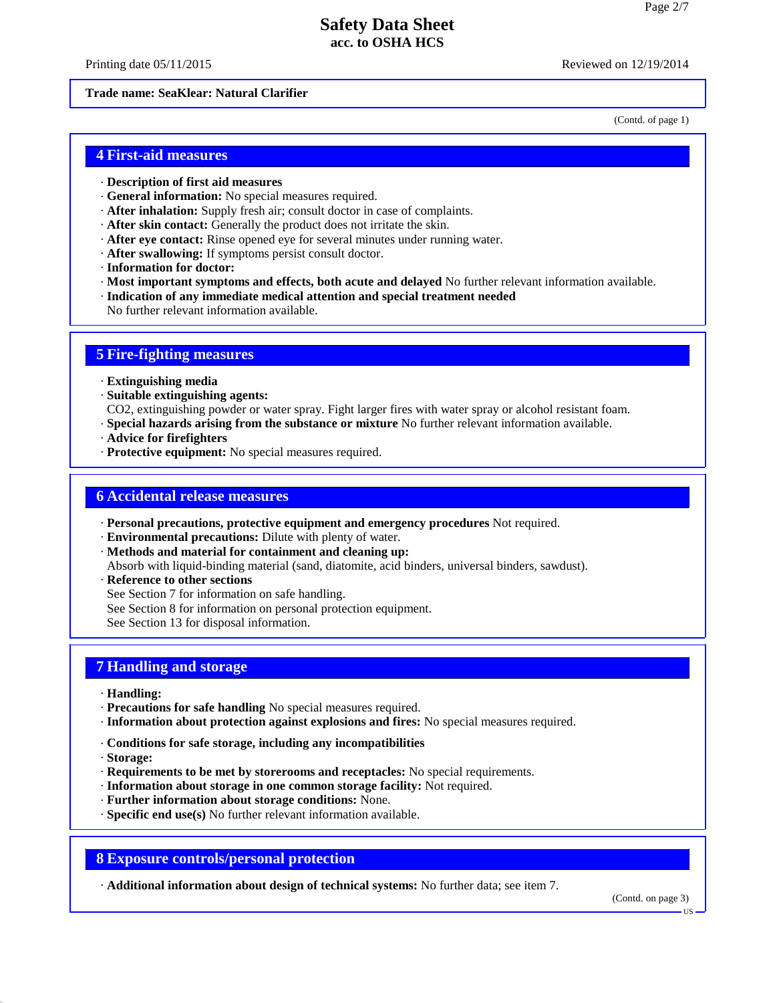Printing date  $05/11/2015$  Reviewed on  $12/19/2014$ 

#### **Trade name: SeaKlear: Natural Clarifier**

(Contd. of page 1)

## **4 First-aid measures**

- · **Description of first aid measures**
- · **General information:** No special measures required.
- · **After inhalation:** Supply fresh air;consult doctor in case of complaints.
- · **After skin contact:** Generally the product does not irritate the skin.
- · **After eye contact:** Rinse opened eye for several minutes under running water.
- · **After swallowing:** If symptoms persist consult doctor.
- · **Information for doctor:**
- · **Most important symptoms and effects, both acute and delayed** No further relevant information available.
- · **Indication of any immediate medical attention and special treatment needed**
- No further relevant information available.

## **5 Fire-fighting measures**

- · **Extinguishing media**
- · **Suitable extinguishing agents:**
- CO2, extinguishing powder or water spray. Fight larger fires with water spray or alcohol resistant foam.
- · **Special hazards arising from the substance or mixture** No further relevant information available.
- · **Advice for firefighters**
- · **Protective equipment:** No special measures required.

## **6 Accidental release measures**

- · **Personal precautions, protective equipment and emergency procedures** Not required.
- · **Environmental precautions:** Dilute with plenty of water.
- · **Methods and material for containment and cleaning up:**
- Absorb with liquid-binding material (sand, diatomite, acid binders, universal binders, sawdust).
- · **Reference to other sections**
- See Section 7 for information on safe handling.
- See Section 8 for information on personal protection equipment.
- See Section 13 for disposal information.

## **7 Handling and storage**

- · **Handling:**
- · **Precautions for safe handling** No special measures required.
- · **Information about protection against explosions and fires:** No special measures required.
- · **Conditions for safe storage, including any incompatibilities**
- · **Storage:**

40.2.7

- · **Requirements to be met by storerooms and receptacles:** No special requirements.
- · **Information about storage in one common storage facility:** Not required.
- · **Further information about storage conditions:** None.
- · **Specific end use(s)** No further relevant information available.

## **8 Exposure controls/personal protection**

· **Additional information about design of technical systems:** No further data; see item 7.

(Contd. on page 3)

US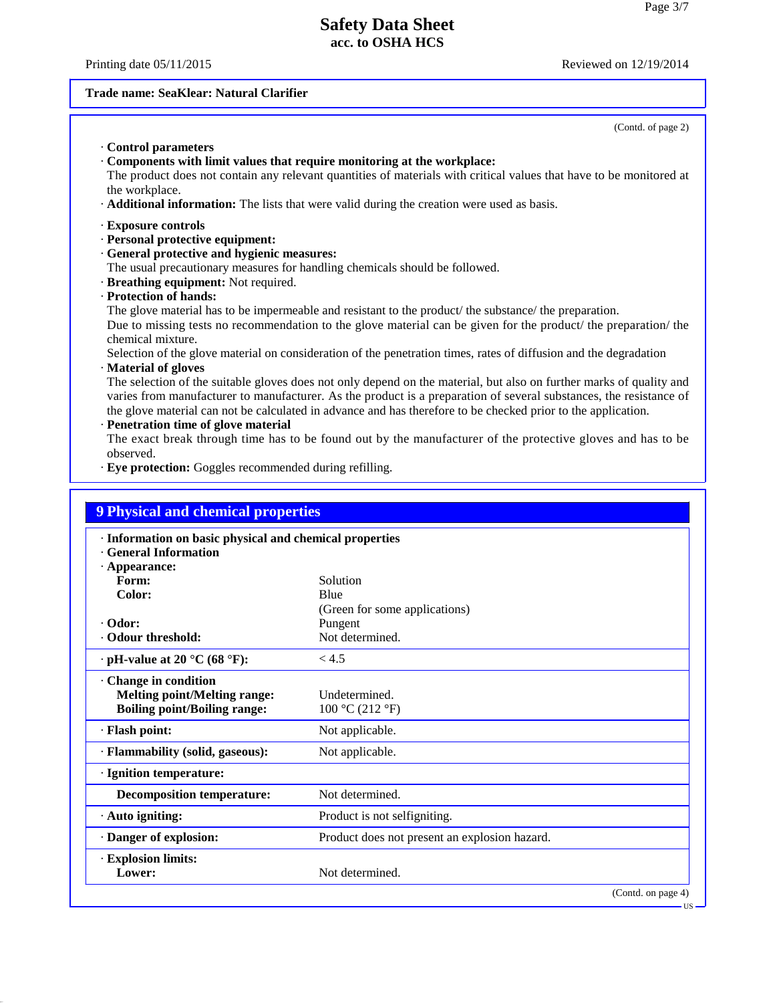Printing date  $05/11/2015$  Reviewed on  $12/19/2014$ 

40.2.7

# **Trade name: SeaKlear: Natural Clarifier**

| (Contd. of page 2)                                                                                                                                                                                                                                                                                                                                                                                 |
|----------------------------------------------------------------------------------------------------------------------------------------------------------------------------------------------------------------------------------------------------------------------------------------------------------------------------------------------------------------------------------------------------|
| Control parameters<br>Components with limit values that require monitoring at the workplace:<br>The product does not contain any relevant quantities of materials with critical values that have to be monitored at<br>the workplace.<br>Additional information: The lists that were valid during the creation were used as basis.                                                                 |
| · Exposure controls                                                                                                                                                                                                                                                                                                                                                                                |
| · Personal protective equipment:                                                                                                                                                                                                                                                                                                                                                                   |
| · General protective and hygienic measures:                                                                                                                                                                                                                                                                                                                                                        |
| The usual precautionary measures for handling chemicals should be followed.                                                                                                                                                                                                                                                                                                                        |
| · Breathing equipment: Not required.                                                                                                                                                                                                                                                                                                                                                               |
| · Protection of hands:                                                                                                                                                                                                                                                                                                                                                                             |
| The glove material has to be impermeable and resistant to the product/ the substance/ the preparation.                                                                                                                                                                                                                                                                                             |
| Due to missing tests no recommendation to the glove material can be given for the product/ the preparation/ the<br>chemical mixture.                                                                                                                                                                                                                                                               |
| Selection of the glove material on consideration of the penetration times, rates of diffusion and the degradation                                                                                                                                                                                                                                                                                  |
| Material of gloves                                                                                                                                                                                                                                                                                                                                                                                 |
| The selection of the suitable gloves does not only depend on the material, but also on further marks of quality and<br>varies from manufacturer to manufacturer. As the product is a preparation of several substances, the resistance of<br>the glove material can not be calculated in advance and has therefore to be checked prior to the application.<br>· Penetration time of glove material |
| The exact break through time has to be found out by the manufacturer of the protective gloves and has to be                                                                                                                                                                                                                                                                                        |

The exact break through time has to be found out by the manufacturer of the protective gloves and has to be observed.

· **Eye protection:** Goggles recommended during refilling.

| · Information on basic physical and chemical properties<br><b>General Information</b> |                                               |  |
|---------------------------------------------------------------------------------------|-----------------------------------------------|--|
| · Appearance:                                                                         |                                               |  |
| Form:                                                                                 | Solution                                      |  |
| Color:                                                                                | Blue                                          |  |
|                                                                                       | (Green for some applications)                 |  |
| · Odor:                                                                               | Pungent                                       |  |
| Odour threshold:                                                                      | Not determined.                               |  |
| $\cdot$ pH-value at 20 °C (68 °F):                                                    | < 4.5                                         |  |
| <b>Change in condition</b>                                                            |                                               |  |
| <b>Melting point/Melting range:</b>                                                   | Undetermined.                                 |  |
| <b>Boiling point/Boiling range:</b>                                                   | 100 °C (212 °F)                               |  |
| · Flash point:                                                                        | Not applicable.                               |  |
| · Flammability (solid, gaseous):                                                      | Not applicable.                               |  |
| · Ignition temperature:                                                               |                                               |  |
| <b>Decomposition temperature:</b>                                                     | Not determined.                               |  |
| · Auto igniting:                                                                      | Product is not selfigniting.                  |  |
| · Danger of explosion:                                                                | Product does not present an explosion hazard. |  |
| · Explosion limits:                                                                   |                                               |  |
| Lower:                                                                                | Not determined.                               |  |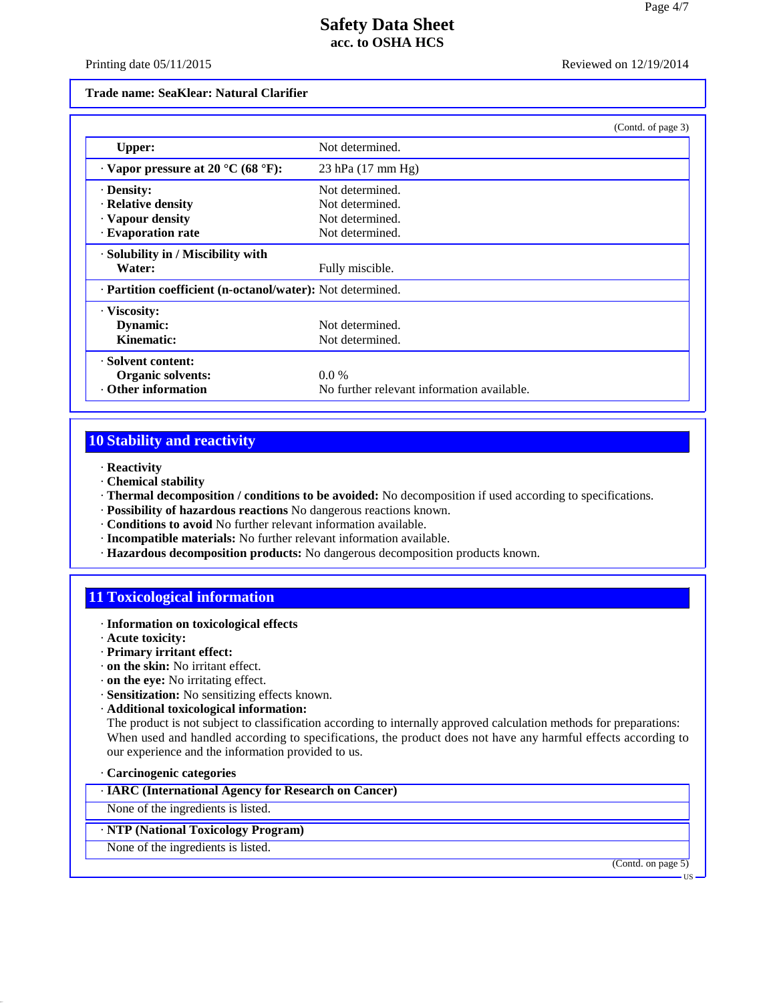Printing date 05/11/2015 Reviewed on 12/19/2014

#### **Trade name: SeaKlear: Natural Clarifier**

|                                                            | (Contd. of page 3)                         |  |
|------------------------------------------------------------|--------------------------------------------|--|
| <b>Upper:</b>                                              | Not determined.                            |  |
| $\cdot$ Vapor pressure at 20 °C (68 °F):                   | 23 hPa (17 mm Hg)                          |  |
| · Density:                                                 | Not determined.                            |  |
| · Relative density                                         | Not determined.                            |  |
| · Vapour density                                           | Not determined.                            |  |
| · Evaporation rate                                         | Not determined.                            |  |
| · Solubility in / Miscibility with                         |                                            |  |
| Water:                                                     | Fully miscible.                            |  |
| · Partition coefficient (n-octanol/water): Not determined. |                                            |  |
| · Viscosity:                                               |                                            |  |
| Dynamic:                                                   | Not determined.                            |  |
| Kinematic:                                                 | Not determined.                            |  |
| · Solvent content:                                         |                                            |  |
| <b>Organic solvents:</b>                                   | $0.0\%$                                    |  |
| Other information                                          | No further relevant information available. |  |

# **10 Stability and reactivity**

- · **Reactivity**
- · **Chemical stability**
- · **Thermal decomposition / conditions to be avoided:** No decomposition if used according to specifications.
- · **Possibility of hazardous reactions** No dangerous reactions known.
- · **Conditions to avoid** No further relevant information available.
- · **Incompatible materials:** No further relevant information available.
- · **Hazardous decomposition products:** No dangerous decomposition products known.

## **11 Toxicological information**

- · **Information on toxicological effects**
- · **Acute toxicity:**
- · **Primary irritant effect:**
- · **on the skin:** No irritant effect.
- · **on the eye:** No irritating effect.
- · **Sensitization:** No sensitizing effects known.
- · **Additional toxicological information:**

The product is not subject to classification according to internally approved calculation methods for preparations: When used and handled according to specifications, the product does not have any harmful effects according to our experience and the information provided to us.

#### · **Carcinogenic categories**

40.2.7

· **IARC (International Agency for Research on Cancer)**

None of the ingredients is listed.

## · **NTP (National Toxicology Program)**

None of the ingredients is listed.

(Contd. on page 5)

US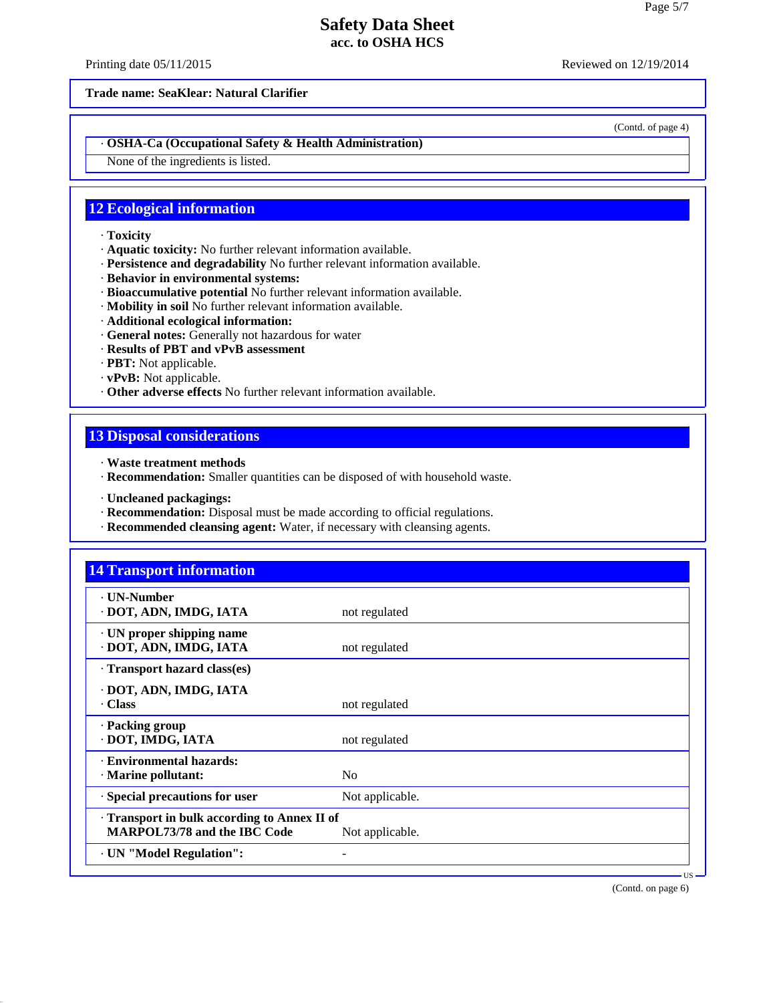Printing date 05/11/2015 Reviewed on 12/19/2014

**Trade name: SeaKlear: Natural Clarifier**

(Contd. of page 4)

## · **OSHA-Ca (Occupational Safety & Health Administration)**

None of the ingredients is listed.

# **12 Ecological information**

- · **Toxicity**
- · **Aquatic toxicity:** No further relevant information available.
- · **Persistence and degradability** No further relevant information available.
- · **Behavior in environmental systems:**
- · **Bioaccumulative potential** No further relevant information available.
- · **Mobility in soil** No further relevant information available.
- · **Additional ecological information:**
- · **General notes:** Generally not hazardous for water
- · **Results of PBT and vPvB assessment**
- · **PBT:** Not applicable.
- · **vPvB:** Not applicable.
- · **Other adverse effects** No further relevant information available.

# **13 Disposal considerations**

- · **Waste treatment methods**
- · **Recommendation:** Smaller quantities can be disposed of with household waste.
- · **Uncleaned packagings:**

40.2.7

- · **Recommendation:** Disposal must be made according to official regulations.
- · **Recommended cleansing agent:** Water, if necessary with cleansing agents.

| <b>· UN-Number</b>                                  |                 |  |
|-----------------------------------------------------|-----------------|--|
| DOT, ADN, IMDG, IATA                                | not regulated   |  |
| · UN proper shipping name<br>· DOT, ADN, IMDG, IATA | not regulated   |  |
| · Transport hazard class(es)                        |                 |  |
| · DOT, ADN, IMDG, IATA                              |                 |  |
| . Class                                             | not regulated   |  |
| · Packing group                                     |                 |  |
| · DOT, IMDG, IATA                                   | not regulated   |  |
| <b>Environmental hazards:</b>                       |                 |  |
| · Marine pollutant:                                 | N <sub>o</sub>  |  |
| · Special precautions for user                      | Not applicable. |  |
| Transport in bulk according to Annex II of          |                 |  |
| <b>MARPOL73/78 and the IBC Code</b>                 | Not applicable. |  |

(Contd. on page 6)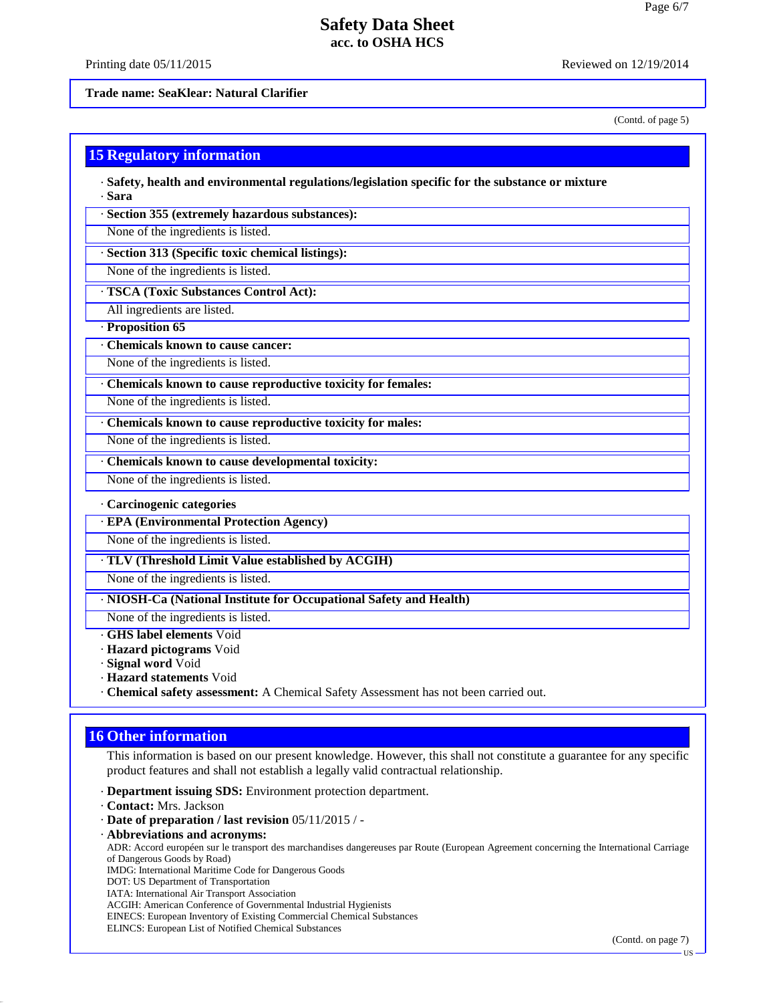Printing date  $05/11/2015$  Reviewed on  $12/19/2014$ 

**Trade name: SeaKlear: Natural Clarifier**

(Contd. of page 5)

|  | <b>15 Regulatory information</b> |  |
|--|----------------------------------|--|
|  |                                  |  |

· **Safety, health and environmental regulations/legislation specific for the substance or mixture** · **Sara**

· **Section 355 (extremely hazardous substances):**

None of the ingredients is listed.

· **Section 313 (Specific toxic chemical listings):**

None of the ingredients is listed.

· **TSCA (Toxic Substances Control Act):**

All ingredients are listed.

· **Proposition 65**

· **Chemicals known to cause cancer:**

None of the ingredients is listed.

· **Chemicals known to cause reproductive toxicity for females:**

None of the ingredients is listed.

· **Chemicals known to cause reproductive toxicity for males:**

None of the ingredients is listed.

· **Chemicals known to cause developmental toxicity:**

None of the ingredients is listed.

#### · **Carcinogenic categories**

· **EPA (Environmental Protection Agency)**

None of the ingredients is listed.

· **TLV (Threshold Limit Value established by ACGIH)**

None of the ingredients is listed.

· **NIOSH-Ca (National Institute for Occupational Safety and Health)**

None of the ingredients is listed.

· **GHS label elements** Void

· **Hazard pictograms** Void

· **Signal word** Void

· **Hazard statements** Void

· **Chemical safety assessment:** A Chemical Safety Assessment has not been carried out.

## **16 Other information**

This information is based on our present knowledge. However, this shall not constitute a guarantee for any specific product features and shall not establish a legally valid contractual relationship.

· **Department issuing SDS:** Environment protection department.

· **Contact:** Mrs. Jackson

40.2.7

- · **Date of preparation / last revision** 05/11/2015 / -
- · **Abbreviations and acronyms:**

ADR: Accord européen sur le transport des marchandises dangereuses par Route (European Agreement concerning the International Carriage of Dangerous Goods by Road)

IMDG: International Maritime Code for Dangerous Goods

DOT: US Department of Transportation

IATA: International Air Transport Association

ACGIH: American Conference of Governmental Industrial Hygienists

EINECS: European Inventory of Existing Commercial Chemical Substances

ELINCS: European List of Notified Chemical Substances